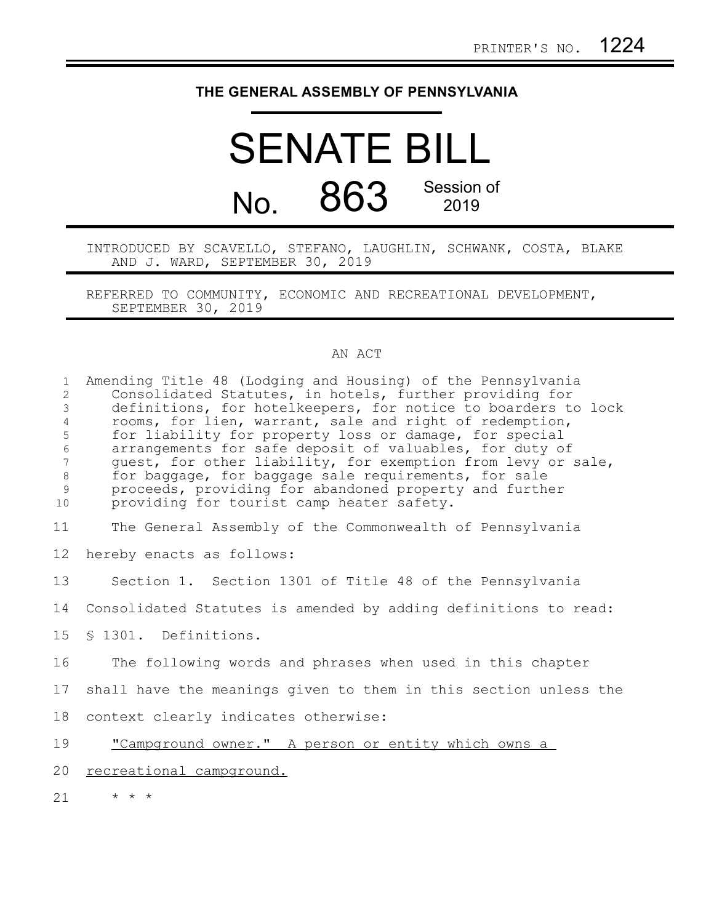## **THE GENERAL ASSEMBLY OF PENNSYLVANIA**

## SENATE BILL No. 863 Session of 2019

INTRODUCED BY SCAVELLO, STEFANO, LAUGHLIN, SCHWANK, COSTA, BLAKE AND J. WARD, SEPTEMBER 30, 2019

REFERRED TO COMMUNITY, ECONOMIC AND RECREATIONAL DEVELOPMENT, SEPTEMBER 30, 2019

## AN ACT

| $\mathbf{1}$<br>2<br>$\mathfrak{Z}$<br>$\overline{4}$<br>5<br>$\sqrt{6}$<br>$7\phantom{.0}$<br>$\,8\,$<br>$\mathsf 9$<br>10 | Amending Title 48 (Lodging and Housing) of the Pennsylvania<br>Consolidated Statutes, in hotels, further providing for<br>definitions, for hotelkeepers, for notice to boarders to lock<br>rooms, for lien, warrant, sale and right of redemption,<br>for liability for property loss or damage, for special<br>arrangements for safe deposit of valuables, for duty of<br>guest, for other liability, for exemption from levy or sale,<br>for baggage, for baggage sale requirements, for sale<br>proceeds, providing for abandoned property and further<br>providing for tourist camp heater safety. |
|-----------------------------------------------------------------------------------------------------------------------------|--------------------------------------------------------------------------------------------------------------------------------------------------------------------------------------------------------------------------------------------------------------------------------------------------------------------------------------------------------------------------------------------------------------------------------------------------------------------------------------------------------------------------------------------------------------------------------------------------------|
| 11                                                                                                                          | The General Assembly of the Commonwealth of Pennsylvania                                                                                                                                                                                                                                                                                                                                                                                                                                                                                                                                               |
| $12 \,$                                                                                                                     | hereby enacts as follows:                                                                                                                                                                                                                                                                                                                                                                                                                                                                                                                                                                              |
| 13                                                                                                                          | Section 1. Section 1301 of Title 48 of the Pennsylvania                                                                                                                                                                                                                                                                                                                                                                                                                                                                                                                                                |
| 14                                                                                                                          | Consolidated Statutes is amended by adding definitions to read:                                                                                                                                                                                                                                                                                                                                                                                                                                                                                                                                        |
| 15                                                                                                                          | § 1301. Definitions.                                                                                                                                                                                                                                                                                                                                                                                                                                                                                                                                                                                   |
| 16                                                                                                                          | The following words and phrases when used in this chapter                                                                                                                                                                                                                                                                                                                                                                                                                                                                                                                                              |
| 17                                                                                                                          | shall have the meanings given to them in this section unless the                                                                                                                                                                                                                                                                                                                                                                                                                                                                                                                                       |
| 18                                                                                                                          | context clearly indicates otherwise:                                                                                                                                                                                                                                                                                                                                                                                                                                                                                                                                                                   |
| 19                                                                                                                          | "Campground owner." A person or entity which owns a                                                                                                                                                                                                                                                                                                                                                                                                                                                                                                                                                    |
| 20                                                                                                                          | recreational campground.                                                                                                                                                                                                                                                                                                                                                                                                                                                                                                                                                                               |
| 21                                                                                                                          | $\star$ $\star$ $\star$                                                                                                                                                                                                                                                                                                                                                                                                                                                                                                                                                                                |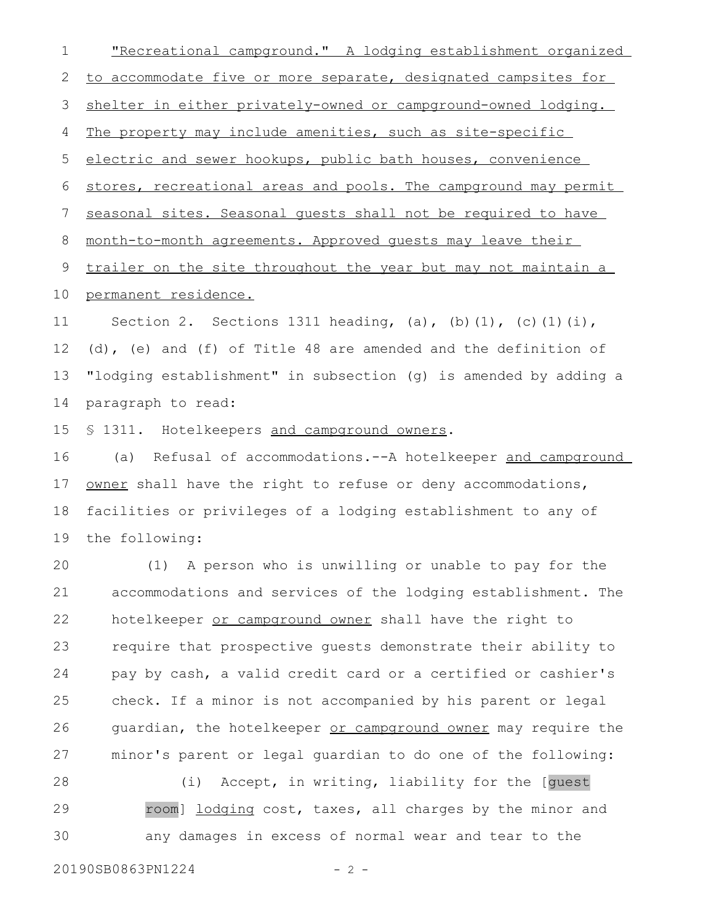"Recreational campground." A lodging establishment organized to accommodate five or more separate, designated campsites for shelter in either privately-owned or campground-owned lodging. The property may include amenities, such as site-specific electric and sewer hookups, public bath houses, convenience stores, recreational areas and pools. The campground may permit seasonal sites. Seasonal guests shall not be required to have month-to-month agreements. Approved guests may leave their trailer on the site throughout the year but may not maintain a permanent residence. Section 2. Sections 1311 heading, (a), (b)(1), (c)(1)(i), (d), (e) and (f) of Title 48 are amended and the definition of "lodging establishment" in subsection (g) is amended by adding a 1 2 3 4 5 6 7 8 9 10 11 12 13

paragraph to read: 14

§ 1311. Hotelkeepers and campground owners. 15

(a) Refusal of accommodations.--A hotelkeeper and campground owner shall have the right to refuse or deny accommodations, facilities or privileges of a lodging establishment to any of the following: 16 17 18 19

(1) A person who is unwilling or unable to pay for the accommodations and services of the lodging establishment. The hotelkeeper or campground owner shall have the right to require that prospective guests demonstrate their ability to pay by cash, a valid credit card or a certified or cashier's check. If a minor is not accompanied by his parent or legal guardian, the hotelkeeper or campground owner may require the minor's parent or legal guardian to do one of the following: 20 21 22 23 24 25 26 27

(i) Accept, in writing, liability for the [guest room] lodging cost, taxes, all charges by the minor and any damages in excess of normal wear and tear to the 28 29 30

20190SB0863PN1224 - 2 -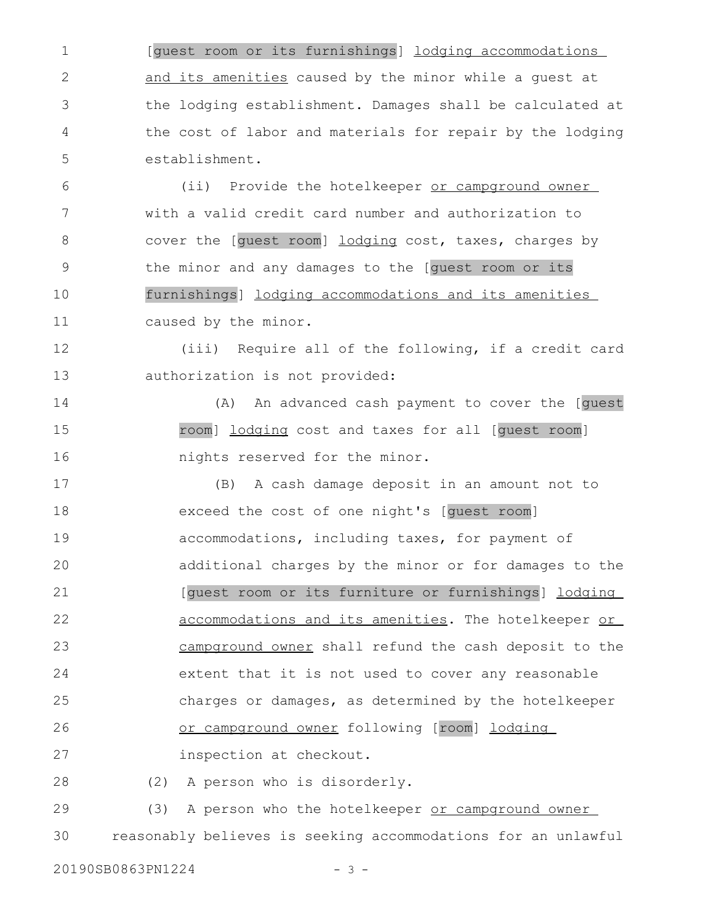[guest room or its furnishings] lodging accommodations and its amenities caused by the minor while a guest at the lodging establishment. Damages shall be calculated at the cost of labor and materials for repair by the lodging establishment. 1 2 3 4 5

(ii) Provide the hotelkeeper or campground owner with a valid credit card number and authorization to cover the [guest room] lodging cost, taxes, charges by the minor and any damages to the [guest room or its furnishings] lodging accommodations and its amenities caused by the minor. 6 7 8 9 10 11

(iii) Require all of the following, if a credit card authorization is not provided: 12 13

(A) An advanced cash payment to cover the [guest room] lodging cost and taxes for all [guest room] nights reserved for the minor. 14 15 16

(B) A cash damage deposit in an amount not to exceed the cost of one night's [guest room] accommodations, including taxes, for payment of additional charges by the minor or for damages to the [guest room or its furniture or furnishings] lodging accommodations and its amenities. The hotelkeeper or campground owner shall refund the cash deposit to the extent that it is not used to cover any reasonable charges or damages, as determined by the hotelkeeper or campground owner following [room] lodging inspection at checkout. 17 18 19 20 21 22 23 24 25 26 27

(2) A person who is disorderly. 28

(3) A person who the hotelkeeper or campground owner reasonably believes is seeking accommodations for an unlawful 29 30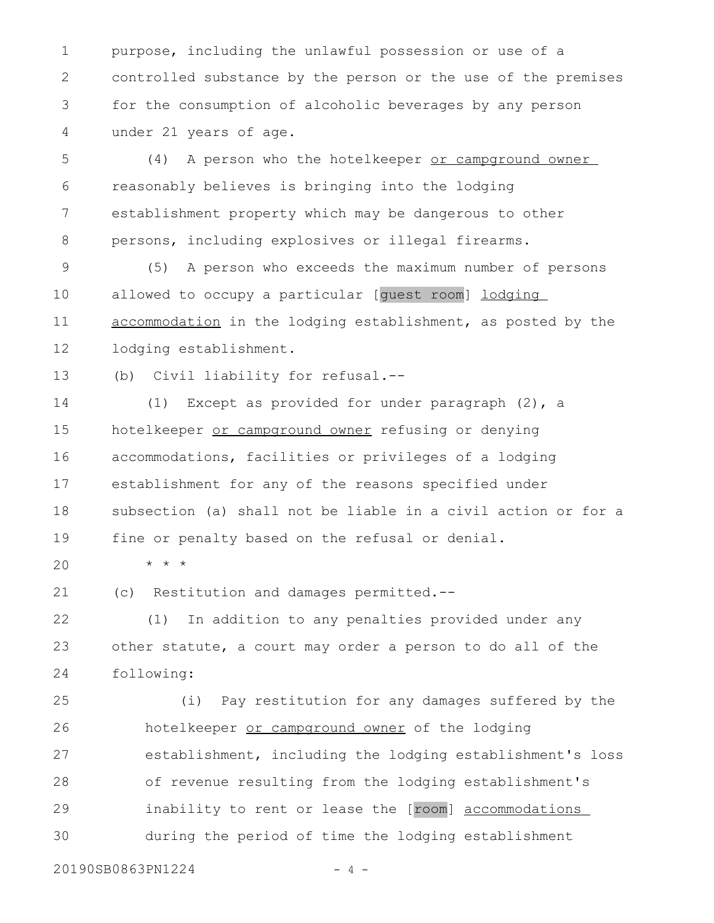purpose, including the unlawful possession or use of a controlled substance by the person or the use of the premises for the consumption of alcoholic beverages by any person under 21 years of age. 1 2 3 4

(4) A person who the hotelkeeper or campground owner reasonably believes is bringing into the lodging establishment property which may be dangerous to other persons, including explosives or illegal firearms. 5 6 7 8

(5) A person who exceeds the maximum number of persons allowed to occupy a particular [guest room] lodging accommodation in the lodging establishment, as posted by the lodging establishment. 9 10 11 12

(b) Civil liability for refusal.-- 13

(1) Except as provided for under paragraph (2), a hotelkeeper or campground owner refusing or denying accommodations, facilities or privileges of a lodging establishment for any of the reasons specified under subsection (a) shall not be liable in a civil action or for a fine or penalty based on the refusal or denial. 14 15 16 17 18 19

\* \* \*

20

(c) Restitution and damages permitted.-- 21

(1) In addition to any penalties provided under any other statute, a court may order a person to do all of the following: 22 23 24

(i) Pay restitution for any damages suffered by the hotelkeeper or campground owner of the lodging establishment, including the lodging establishment's loss of revenue resulting from the lodging establishment's inability to rent or lease the [room] accommodations during the period of time the lodging establishment 25 26 27 28 29 30

20190SB0863PN1224 - 4 -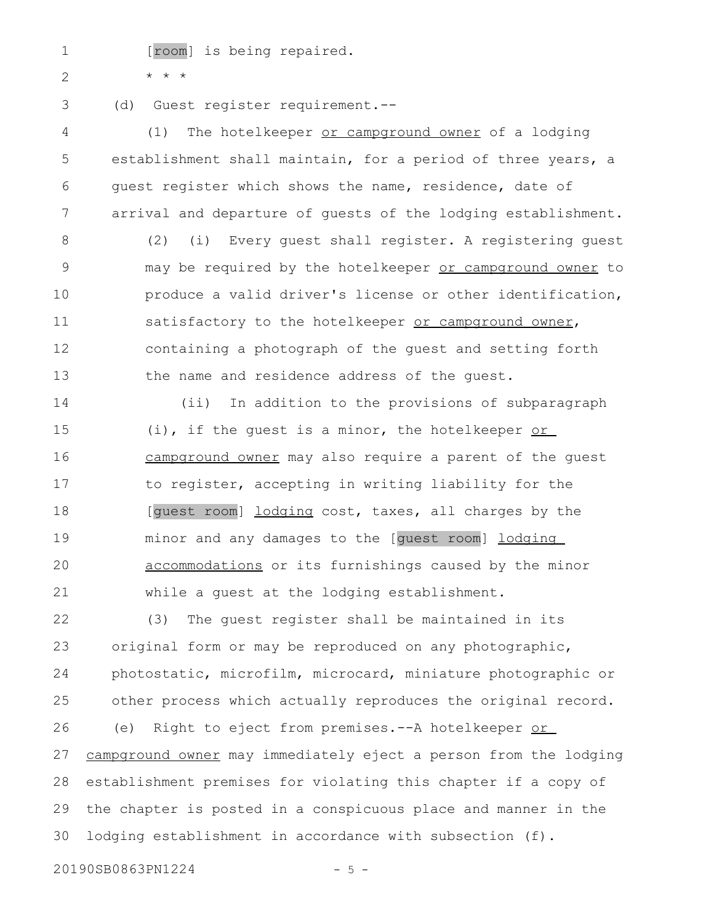1 2

[room] is being repaired.

\* \* \*

3

(d) Guest register requirement.--

(1) The hotelkeeper or campground owner of a lodging establishment shall maintain, for a period of three years, a guest register which shows the name, residence, date of arrival and departure of guests of the lodging establishment. 4 5 6 7

(2) (i) Every guest shall register. A registering guest may be required by the hotelkeeper or campground owner to produce a valid driver's license or other identification, satisfactory to the hotelkeeper or campground owner, containing a photograph of the guest and setting forth the name and residence address of the guest. 8 9 10 11 12 13

(ii) In addition to the provisions of subparagraph (i), if the guest is a minor, the hotelkeeper or campground owner may also require a parent of the guest to register, accepting in writing liability for the [guest room] lodging cost, taxes, all charges by the minor and any damages to the [guest room] lodging accommodations or its furnishings caused by the minor while a guest at the lodging establishment. 14 15 16 17 18 19 20 21

(3) The guest register shall be maintained in its original form or may be reproduced on any photographic, photostatic, microfilm, microcard, miniature photographic or other process which actually reproduces the original record. (e) Right to eject from premises. -- A hotelkeeper or campground owner may immediately eject a person from the lodging establishment premises for violating this chapter if a copy of the chapter is posted in a conspicuous place and manner in the lodging establishment in accordance with subsection (f). 22 23 24 25 26 27 28 29 30

20190SB0863PN1224 - 5 -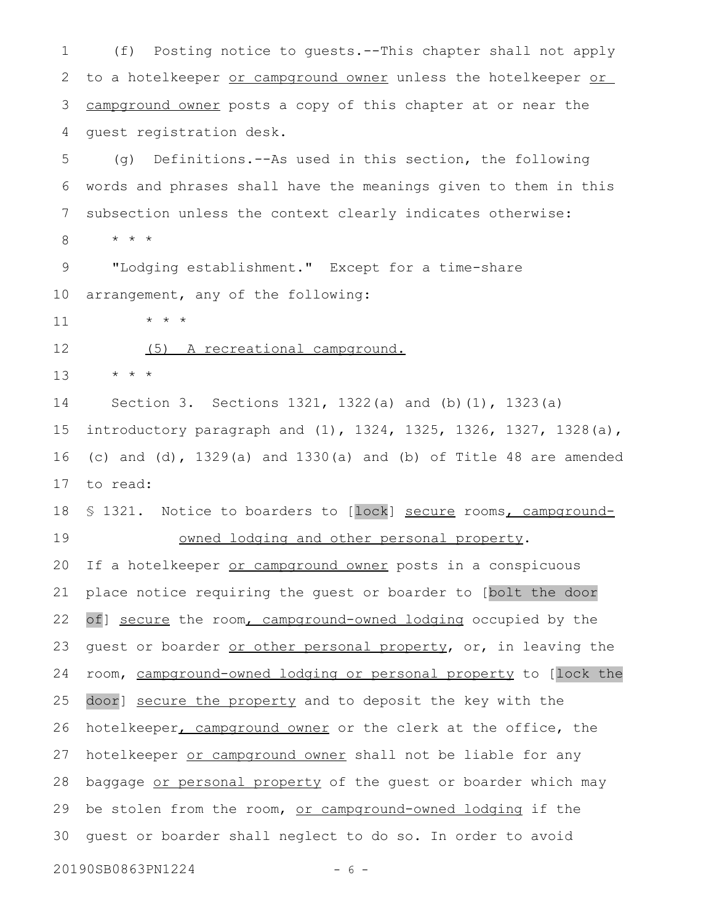(f) Posting notice to guests.--This chapter shall not apply to a hotelkeeper or campground owner unless the hotelkeeper or campground owner posts a copy of this chapter at or near the guest registration desk. 1 2 3 4

(g) Definitions.--As used in this section, the following words and phrases shall have the meanings given to them in this subsection unless the context clearly indicates otherwise: \* \* \* 5 6 7 8

"Lodging establishment." Except for a time-share arrangement, any of the following: 9 10

\* \* \* 11

(5) A recreational campground. 12

\* \* \* 13

Section 3. Sections 1321, 1322(a) and (b)(1), 1323(a) introductory paragraph and (1), 1324, 1325, 1326, 1327, 1328(a), (c) and (d), 1329(a) and 1330(a) and (b) of Title 48 are amended to read: 14 15 16 17

§ 1321. Notice to boarders to [lock] secure rooms, campgroundowned lodging and other personal property. 18 19

If a hotelkeeper or campground owner posts in a conspicuous place notice requiring the guest or boarder to [bolt the door of] secure the room, campground-owned lodging occupied by the guest or boarder or other personal property, or, in leaving the room, campground-owned lodging or personal property to [lock the door] secure the property and to deposit the key with the hotelkeeper, campground owner or the clerk at the office, the hotelkeeper or campground owner shall not be liable for any baggage or personal property of the guest or boarder which may be stolen from the room, or campground-owned lodging if the guest or boarder shall neglect to do so. In order to avoid 20 21 22 23 24 25 26 27 28 29 30

20190SB0863PN1224 - 6 -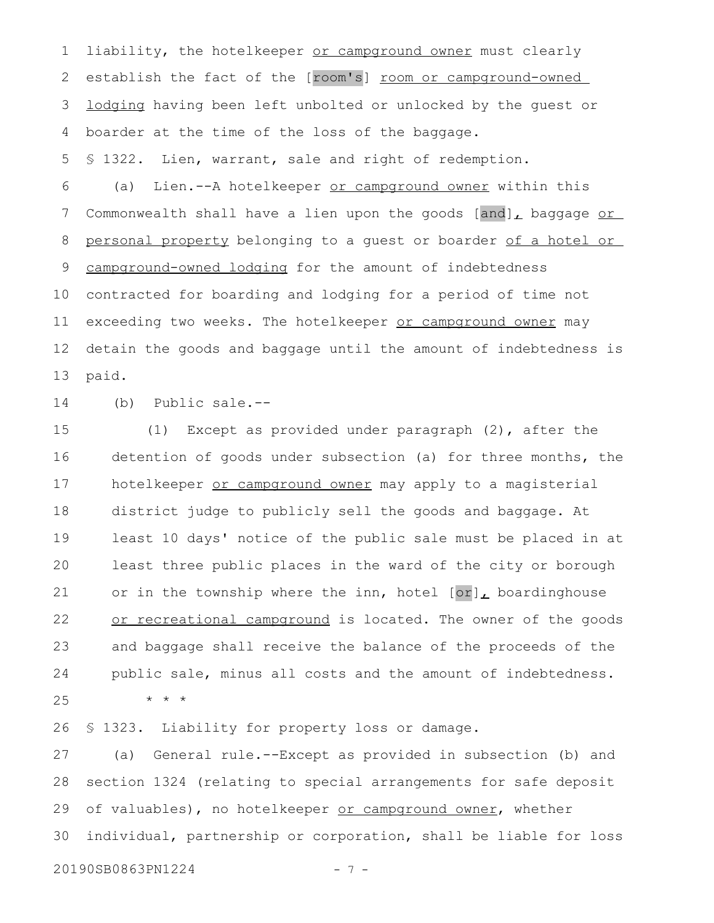liability, the hotelkeeper or campground owner must clearly establish the fact of the [room's] room or campground-owned lodging having been left unbolted or unlocked by the guest or boarder at the time of the loss of the baggage. 1 2 3 4

§ 1322. Lien, warrant, sale and right of redemption. 5

(a) Lien.--A hotelkeeper or campground owner within this Commonwealth shall have a lien upon the goods  $[and]_L$  baggage or personal property belonging to a guest or boarder of a hotel or campground-owned lodging for the amount of indebtedness contracted for boarding and lodging for a period of time not exceeding two weeks. The hotelkeeper or campground owner may detain the goods and baggage until the amount of indebtedness is paid. 6 7 8 9 10 11 12 13

(b) Public sale.-- 14

(1) Except as provided under paragraph (2), after the detention of goods under subsection (a) for three months, the hotelkeeper or campground owner may apply to a magisterial district judge to publicly sell the goods and baggage. At least 10 days' notice of the public sale must be placed in at least three public places in the ward of the city or borough or in the township where the inn, hotel  $[or]_L$  boardinghouse or recreational campground is located. The owner of the goods and baggage shall receive the balance of the proceeds of the public sale, minus all costs and the amount of indebtedness. \* \* \* 15 16 17 18 19 20 21 22 23 24 25

§ 1323. Liability for property loss or damage. 26

(a) General rule.--Except as provided in subsection (b) and section 1324 (relating to special arrangements for safe deposit of valuables), no hotelkeeper or campground owner, whether individual, partnership or corporation, shall be liable for loss 27 28 29 30

20190SB0863PN1224 - 7 -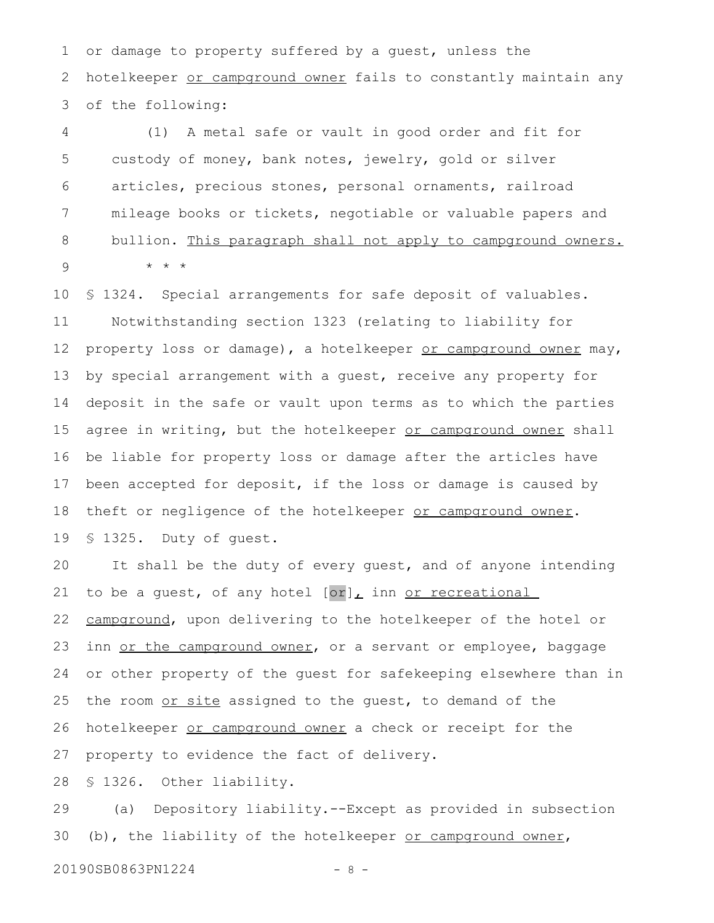or damage to property suffered by a guest, unless the hotelkeeper or campground owner fails to constantly maintain any of the following: 1 2 3

(1) A metal safe or vault in good order and fit for custody of money, bank notes, jewelry, gold or silver articles, precious stones, personal ornaments, railroad mileage books or tickets, negotiable or valuable papers and bullion. This paragraph shall not apply to campground owners. \* \* \* 4 5 6 7 8 9

§ 1324. Special arrangements for safe deposit of valuables. Notwithstanding section 1323 (relating to liability for property loss or damage), a hotelkeeper or campground owner may, by special arrangement with a guest, receive any property for deposit in the safe or vault upon terms as to which the parties agree in writing, but the hotelkeeper or campground owner shall be liable for property loss or damage after the articles have been accepted for deposit, if the loss or damage is caused by theft or negligence of the hotelkeeper or campground owner. § 1325. Duty of guest. 10 11 12 13 14 15 16 17 18 19

It shall be the duty of every guest, and of anyone intending to be a guest, of any hotel  $[or]_L$  inn or recreational campground, upon delivering to the hotelkeeper of the hotel or inn or the campground owner, or a servant or employee, baggage or other property of the guest for safekeeping elsewhere than in the room or site assigned to the guest, to demand of the hotelkeeper or campground owner a check or receipt for the property to evidence the fact of delivery. 20 21 22 23 24 25 26 27

§ 1326. Other liability. 28

(a) Depository liability.--Except as provided in subsection (b), the liability of the hotelkeeper or campground owner, 29 30

20190SB0863PN1224 - 8 -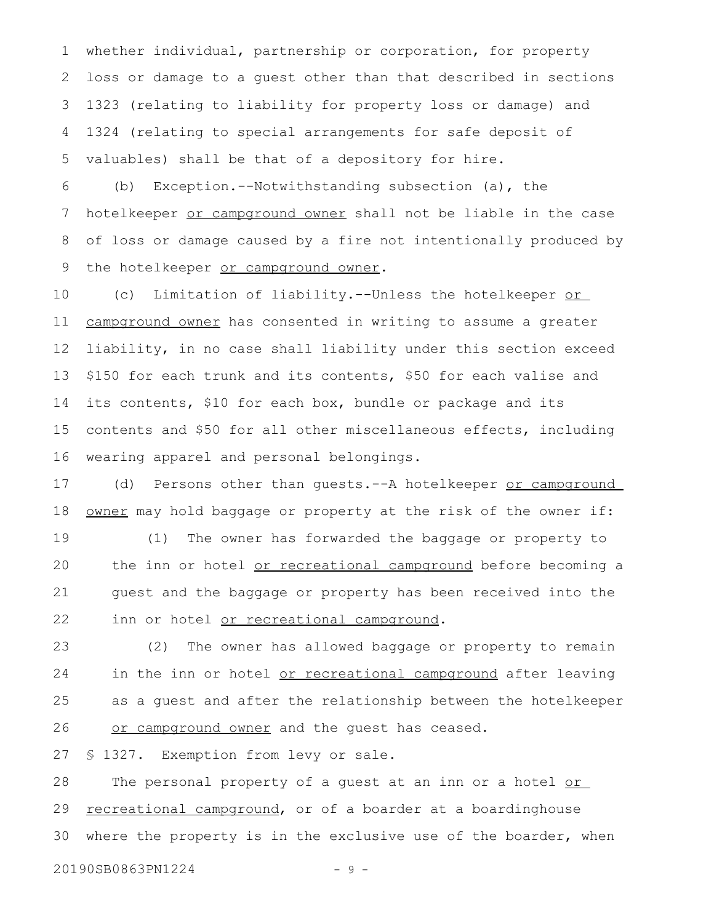whether individual, partnership or corporation, for property loss or damage to a guest other than that described in sections 1323 (relating to liability for property loss or damage) and 1324 (relating to special arrangements for safe deposit of valuables) shall be that of a depository for hire. 1 2 3 4 5

(b) Exception.--Notwithstanding subsection (a), the hotelkeeper or campground owner shall not be liable in the case of loss or damage caused by a fire not intentionally produced by the hotelkeeper or campground owner. 6 7 8 9

(c) Limitation of liability.--Unless the hotelkeeper or campground owner has consented in writing to assume a greater liability, in no case shall liability under this section exceed \$150 for each trunk and its contents, \$50 for each valise and its contents, \$10 for each box, bundle or package and its contents and \$50 for all other miscellaneous effects, including wearing apparel and personal belongings. 10 11 12 13 14 15 16

(d) Persons other than guests. -- A hotelkeeper or campground owner may hold baggage or property at the risk of the owner if: 17 18

(1) The owner has forwarded the baggage or property to the inn or hotel or recreational campground before becoming a guest and the baggage or property has been received into the inn or hotel or recreational campground. 19 20 21 22

(2) The owner has allowed baggage or property to remain in the inn or hotel or recreational campground after leaving as a guest and after the relationship between the hotelkeeper or campground owner and the guest has ceased. 23 24 25 26

§ 1327. Exemption from levy or sale. 27

The personal property of a guest at an inn or a hotel or recreational campground, or of a boarder at a boardinghouse where the property is in the exclusive use of the boarder, when 28 29 30

20190SB0863PN1224 - 9 -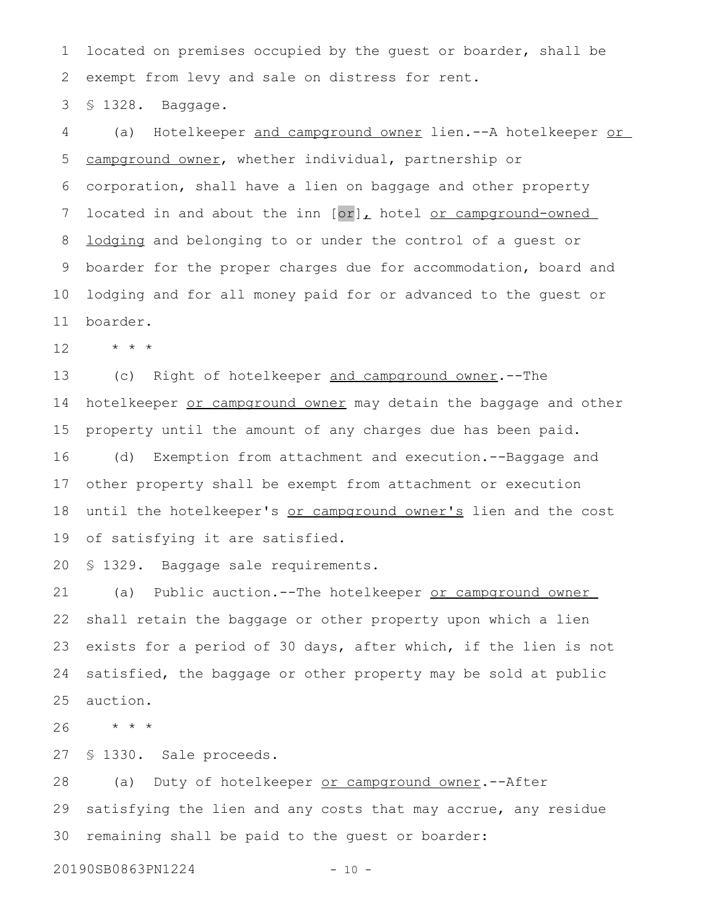located on premises occupied by the guest or boarder, shall be exempt from levy and sale on distress for rent. 1 2

§ 1328. Baggage. 3

(a) Hotelkeeper and campground owner lien.--A hotelkeeper or campground owner, whether individual, partnership or corporation, shall have a lien on baggage and other property located in and about the inn [or], hotel or campground-owned lodging and belonging to or under the control of a guest or boarder for the proper charges due for accommodation, board and lodging and for all money paid for or advanced to the guest or boarder. 4 5 6 7 8 9 10 11

\* \* \* 12

(c) Right of hotelkeeper and campground owner.--The hotelkeeper or campground owner may detain the baggage and other property until the amount of any charges due has been paid. (d) Exemption from attachment and execution.--Baggage and other property shall be exempt from attachment or execution until the hotelkeeper's or campground owner's lien and the cost of satisfying it are satisfied. 13 14 15 16 17 18 19

§ 1329. Baggage sale requirements. 20

(a) Public auction.--The hotelkeeper or campground owner shall retain the baggage or other property upon which a lien exists for a period of 30 days, after which, if the lien is not satisfied, the baggage or other property may be sold at public auction. 21 22 23 24 25

\* \* \* 26

§ 1330. Sale proceeds. 27

(a) Duty of hotelkeeper or campground owner. -- After satisfying the lien and any costs that may accrue, any residue remaining shall be paid to the guest or boarder: 28 29 30

20190SB0863PN1224 - 10 -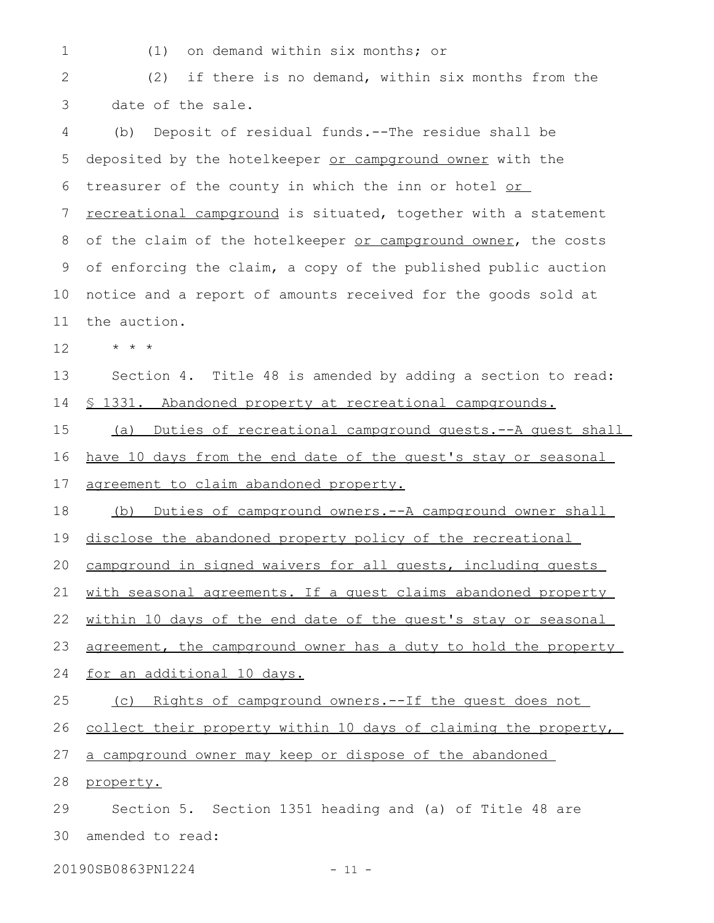1

(1) on demand within six months; or

(2) if there is no demand, within six months from the date of the sale. 2 3

(b) Deposit of residual funds.--The residue shall be deposited by the hotelkeeper or campground owner with the treasurer of the county in which the inn or hotel or recreational campground is situated, together with a statement of the claim of the hotelkeeper or campground owner, the costs of enforcing the claim, a copy of the published public auction notice and a report of amounts received for the goods sold at the auction. 4 5 6 7 8 9 10 11

\* \* \* 12

Section 4. Title 48 is amended by adding a section to read: § 1331. Abandoned property at recreational campgrounds. 13 14

(a) Duties of recreational campground guests.--A guest shall have 10 days from the end date of the guest's stay or seasonal agreement to claim abandoned property. 15 16 17

(b) Duties of campground owners.--A campground owner shall 18

disclose the abandoned property policy of the recreational 19

campground in signed waivers for all guests, including guests 20

with seasonal agreements. If a guest claims abandoned property 21

within 10 days of the end date of the quest's stay or seasonal 22

agreement, the campground owner has a duty to hold the property 23

for an additional 10 days. 24

(c) Rights of campground owners.--If the guest does not collect their property within 10 days of claiming the property, 25 26

a campground owner may keep or dispose of the abandoned 27

property. 28

Section 5. Section 1351 heading and (a) of Title 48 are amended to read: 29 30

20190SB0863PN1224 - 11 -